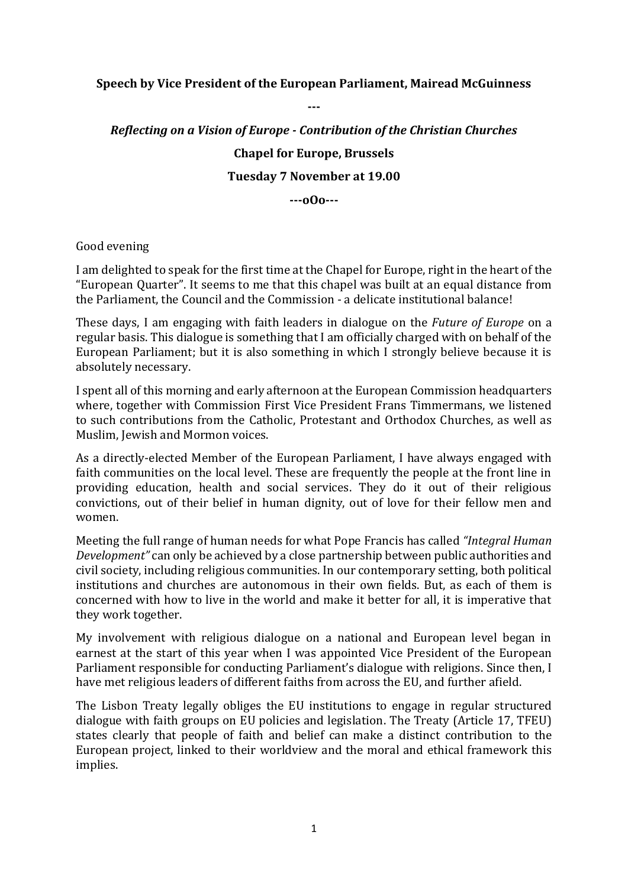## **Speech by Vice President of the European Parliament, Mairead McGuinness**

**---**

*Reflecting on a Vision of Europe - Contribution of the Christian Churches* **Chapel for Europe, Brussels Tuesday 7 November at 19.00**

**---oOo---**

## Good evening

I am delighted to speak for the first time at the Chapel for Europe, right in the heart of the "European Quarter". It seems to me that this chapel was built at an equal distance from the Parliament, the Council and the Commission - a delicate institutional balance!

These days, I am engaging with faith leaders in dialogue on the *Future of Europe* on a regular basis. This dialogue is something that I am officially charged with on behalf of the European Parliament; but it is also something in which I strongly believe because it is absolutely necessary.

I spent all of this morning and early afternoon at the European Commission headquarters where, together with Commission First Vice President Frans Timmermans, we listened to such contributions from the Catholic, Protestant and Orthodox Churches, as well as Muslim, Jewish and Mormon voices.

As a directly-elected Member of the European Parliament, I have always engaged with faith communities on the local level. These are frequently the people at the front line in providing education, health and social services. They do it out of their religious convictions, out of their belief in human dignity, out of love for their fellow men and women.

Meeting the full range of human needs for what Pope Francis has called *"Integral Human Development"* can only be achieved by a close partnership between public authorities and civil society, including religious communities. In our contemporary setting, both political institutions and churches are autonomous in their own fields. But, as each of them is concerned with how to live in the world and make it better for all, it is imperative that they work together.

My involvement with religious dialogue on a national and European level began in earnest at the start of this year when I was appointed Vice President of the European Parliament responsible for conducting Parliament's dialogue with religions. Since then, I have met religious leaders of different faiths from across the EU, and further afield.

The Lisbon Treaty legally obliges the EU institutions to engage in regular structured dialogue with faith groups on EU policies and legislation. The Treaty (Article 17, TFEU) states clearly that people of faith and belief can make a distinct contribution to the European project, linked to their worldview and the moral and ethical framework this implies.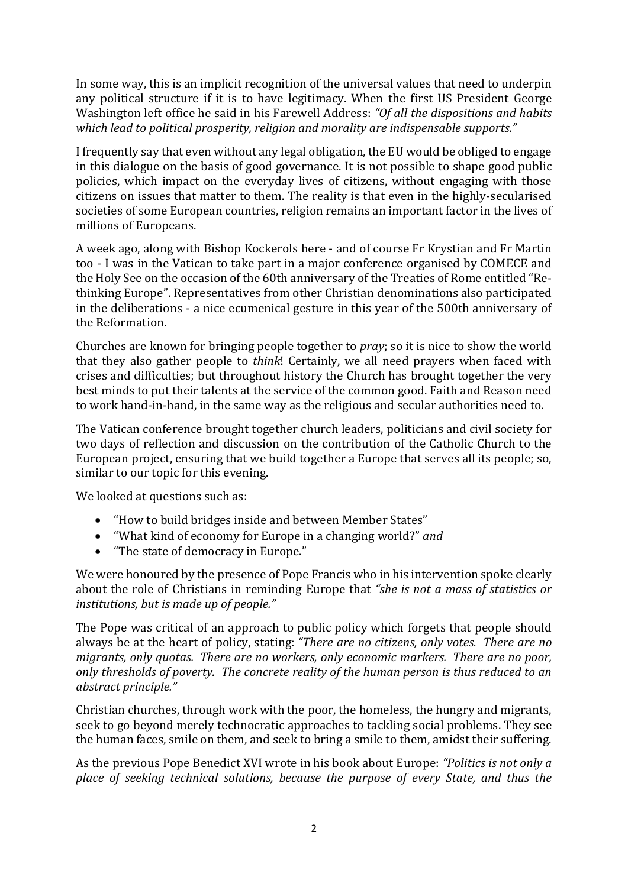In some way, this is an implicit recognition of the universal values that need to underpin any political structure if it is to have legitimacy. When the first US President George Washington left office he said in his Farewell Address: *"Of all the dispositions and habits which lead to political prosperity, religion and morality are indispensable supports."*

I frequently say that even without any legal obligation, the EU would be obliged to engage in this dialogue on the basis of good governance. It is not possible to shape good public policies, which impact on the everyday lives of citizens, without engaging with those citizens on issues that matter to them. The reality is that even in the highly-secularised societies of some European countries, religion remains an important factor in the lives of millions of Europeans.

A week ago, along with Bishop Kockerols here - and of course Fr Krystian and Fr Martin too - I was in the Vatican to take part in a major conference organised by COMECE and the Holy See on the occasion of the 60th anniversary of the Treaties of Rome entitled "Rethinking Europe". Representatives from other Christian denominations also participated in the deliberations - a nice ecumenical gesture in this year of the 500th anniversary of the Reformation.

Churches are known for bringing people together to *pray*; so it is nice to show the world that they also gather people to *think*! Certainly, we all need prayers when faced with crises and difficulties; but throughout history the Church has brought together the very best minds to put their talents at the service of the common good. Faith and Reason need to work hand-in-hand, in the same way as the religious and secular authorities need to.

The Vatican conference brought together church leaders, politicians and civil society for two days of reflection and discussion on the contribution of the Catholic Church to the European project, ensuring that we build together a Europe that serves all its people; so, similar to our topic for this evening.

We looked at questions such as:

- "How to build bridges inside and between Member States"
- "What kind of economy for Europe in a changing world?" *and*
- "The state of democracy in Europe."

We were honoured by the presence of Pope Francis who in his intervention spoke clearly about the role of Christians in reminding Europe that *"she is not a mass of statistics or institutions, but is made up of people."* 

The Pope was critical of an approach to public policy which forgets that people should always be at the heart of policy, stating: *"There are no citizens, only votes. There are no migrants, only quotas. There are no workers, only economic markers. There are no poor, only thresholds of poverty. The concrete reality of the human person is thus reduced to an abstract principle."*

Christian churches, through work with the poor, the homeless, the hungry and migrants, seek to go beyond merely technocratic approaches to tackling social problems. They see the human faces, smile on them, and seek to bring a smile to them, amidst their suffering.

As the previous Pope Benedict XVI wrote in his book about Europe: *"Politics is not only a place of seeking technical solutions, because the purpose of every State, and thus the*